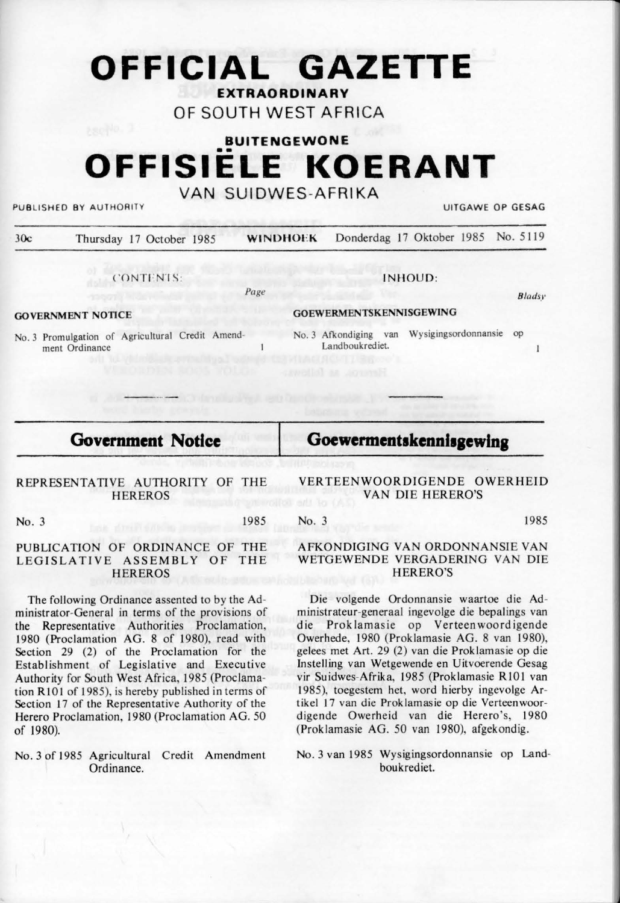## **OFFICIAL GAZETTE EXTRAORDINARY**

## OF SOUTH WEST AFRICA

# **BUITE NGEWON E**  •• **OFFISIELE KOERANT**

## VAN SUIDWES-AFRIKA

PUBLISHED BY AUTHORITY UITGAWE OP GESAG

| 30c | Thursday 17 October 1985 | <b>WINDHOEK</b> | Donderdag 17 Oktober 1985 No. 5119 |               |
|-----|--------------------------|-----------------|------------------------------------|---------------|
|     | CONTENTS:                |                 | INHOUD:                            |               |
|     |                          | Page            |                                    | <b>Bladsy</b> |

 $\mathbf{1}$ 

**GOVERNMENT NOTICE** 

**GOEWERMENTSKENNISGEWING** 

Landboukrediet

No. 3 Afkondiging van Wysigingsordonnansie op

Goewermentskennisgewing

No. 3 Promulgation of Agricultural Credit Amendment Ordinance

## **Government Notice**

#### REPRESENTATIVE AUTHORITY OF THE **HEREROS**

No. 3 1985

#### PUBLICATION OF ORDINANCE OF THE LEGISLATIVE ASSEMBLY OF THE **HEREROS**

The following Ordinance assented to by the Administrator-General in terms of the provisions of the Representative Authorities Proclamation, 1980 (Proclamation AG. 8 of 1980), read with Section 29 (2) of the Proclamation for the Establishment of Legislative and Executive Authority for South West Africa, 1985 (Proclamation R101 of 1985), is hereby published in terms of Section 17 of the Representative Authority of the Herero Proclamation, 1980 (Proclamation AG. 50) of 1980).

No. 3 of 1985 Agricultural Credit Amendment Ordinance.

VERTEENWOORDIGENDE OWERHEID VAN DIE HERERO'S

No. 3 1985

 $\mathbf{I}$ 

#### AFKONDIGING VAN ORDONNANSIE VAN WETGEWENDE VERGADERING VAN DIE HERERO'S

Die volgende Ordonnansie waartoe die Administrateur-generaal ingevolge die bepalings van die Proklamasie op Verteenwoordigende Owerhede, 1980 (Proklamasie AG. 8 van 1980), gelees met Art. 29 (2) van die Proklamasie op die lnstelling van Wetgewende en Uitvoerende Gesag vir Suidwes-Afrika, 1985 (Proklamasie RIO! van 1985), toegestem het, word hierby ingevolge Artikel 17 van die Proklamasie op die Verteenwoordigende Owerheid van die Herero's, 1980 (Prok lamasie AG. 50 van 1980), afgekondig.

No. 3 van 1985 Wysigingsordonnansie op Landboukrediet.